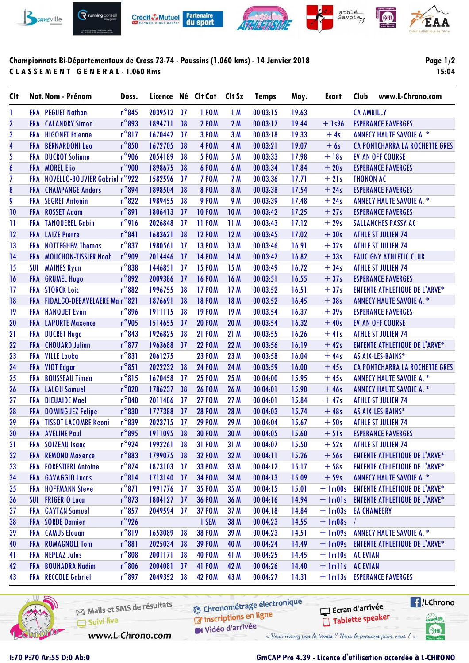

# **Championnats Bi-Départementaux de Cross 73-74 - Poussins (1.060 kms) - 14 Janvier 2018 C L A S S E M E N T G E N E R A L - 1.060 Kms**

# **Page 1/2 15:04**

| <b>Clt</b>              |            | <b>Nat. Nom - Prénom</b>          | Doss.           | Licence Né Clt Cat |    |               | Clt Sx          | <b>Temps</b> | Moy.  | <b>Ecart</b>        | Club              | www.L-Chrono.com                      |
|-------------------------|------------|-----------------------------------|-----------------|--------------------|----|---------------|-----------------|--------------|-------|---------------------|-------------------|---------------------------------------|
| 1                       |            | <b>FRA</b> PEGUET Nathan          | $n^{\circ}$ 845 | 2039512            | 07 | 1 POM         | 1M              | 00:03:15     | 19.63 |                     | <b>CA AMBILLY</b> |                                       |
| $\overline{\mathbf{2}}$ |            | <b>FRA</b> CALANDRY Simon         | $n^{\circ}$ 893 | 1894711            | 08 | <b>2 POM</b>  | 2M              | 00:03:17     | 19.44 | $+$ 1s96            |                   | <b>ESPERANCE FAVERGES</b>             |
| 3                       |            | <b>FRA HIGONET Etienne</b>        | $n^{\circ}817$  | 1670442            | 07 | <b>3 POM</b>  | 3M              | 00:03:18     | 19.33 | $+4s$               |                   | <b>ANNECY HAUTE SAVOIE A. *</b>       |
| $\overline{\mathbf{4}}$ | <b>FRA</b> | <b>BERNARDONI Leo</b>             | $n^{\circ}850$  | 1672705            | 08 | 4 POM         | 4 M             | 00:03:21     | 19.07 | $+6s$               |                   | <b>CA PONTCHARRA LA ROCHETTE GRES</b> |
| 5                       | <b>FRA</b> | <b>DUCROT Sofiane</b>             | n°906           | 2054189            | 08 | <b>5 POM</b>  | 5 M             | 00:03:33     | 17.98 | $+18s$              |                   | <b>EVIAN OFF COURSE</b>               |
| $\boldsymbol{6}$        |            | <b>FRA MOREL Elio</b>             | $n^{\circ}$ 900 | 1898675            | 08 | 6 POM         | 6 M             | 00:03:34     | 17.84 | $+20s$              |                   | <b>ESPERANCE FAVERGES</b>             |
| $\overline{1}$          |            | FRA NOVELLO-BOUVIER Gabriel n°922 |                 | 1582596            | 07 | 7 POM         | 7 M             | 00:03:36     | 17.71 | $+21s$              | <b>THONON AC</b>  |                                       |
| 8                       |            | <b>FRA</b> CHAMPANGE Anders       | $n^{\circ}$ 894 | 1898504            | 08 | <b>8 POM</b>  | 8 M             | 00:03:38     | 17.54 | $+24s$              |                   | <b>ESPERANCE FAVERGES</b>             |
| 9                       |            | <b>FRA</b> SEGRET Antonin         | $n^{\circ}822$  | 1989455            | 08 | 9 POM         | 9 M             | 00:03:39     | 17.48 | $+24s$              |                   | <b>ANNECY HAUTE SAVOIE A. *</b>       |
| 10                      |            | FRA ROSSET Adam                   | $n^{\circ}891$  | 1806413            | 07 | <b>10 POM</b> | <b>10M</b>      | 00:03:42     | 17.25 | $+27s$              |                   | <b>ESPERANCE FAVERGES</b>             |
| $\mathbf{1}$            |            | <b>FRA TANQUEREL Gabin</b>        | $n^{\circ}$ 916 | 2026848            | 07 | <b>11 POM</b> | 11M             | 00:03:43     | 17.12 | $+29s$              |                   | <b>SALLANCHES PASSY AC</b>            |
| 12                      |            | <b>FRA</b> LAIZE Pierre           | $n^{\circ}841$  | 1683621            | 08 | <b>12 POM</b> | 12M             | 00:03:45     | 17.02 | $+30s$              |                   | <b>ATHLE ST JULIEN 74</b>             |
| 13                      |            | <b>FRA</b> NOTTEGHEM Thomas       | $n^{\circ}837$  | 1980561            | 07 | <b>13 POM</b> | 13 M            | 00:03:46     | 16.91 | $+32s$              |                   | <b>ATHLE ST JULIEN 74</b>             |
| 14                      |            | FRA MOUCHON-TISSIER Noah          | $n^{\circ}$ 909 | 2014446            | 07 | <b>14 POM</b> | 14 M            | 00:03:47     | 16.82 | $+33s$              |                   | <b>FAUCIGNY ATHLETIC CLUB</b>         |
| 15                      | <b>SUI</b> | <b>MAINES Ryan</b>                | $n^{\circ}$ 838 | 1446851            | 07 | <b>15 POM</b> | 15 M            | 00:03:49     | 16.72 | $+34s$              |                   | <b>ATHLE ST JULIEN 74</b>             |
| 16                      | <b>FRA</b> | <b>GRUMEL Hugo</b>                | $n^{\circ}892$  | 2009386            | 07 | <b>16 POM</b> | 16 M            | 00:03:51     | 16.55 | $+37s$              |                   | <b>ESPERANCE FAVERGES</b>             |
| 17                      |            | <b>FRA STORCK Loic</b>            | $n^{\circ}882$  | 1996755            | 08 | <b>17 POM</b> | 17M             | 00:03:52     | 16.51 | $+37s$              |                   | <b>ENTENTE ATHLETIQUE DE L'ARVE*</b>  |
| 18                      |            | FRA FIDALGO-DEBAVELAERE Man°821   |                 | 1876691            | 08 | <b>18 POM</b> | 18 M            | 00:03:52     | 16.45 | $+38s$              |                   | <b>ANNECY HAUTE SAVOIE A. *</b>       |
| 19                      |            | <b>FRA HANQUET Evan</b>           | $n^{\circ}$ 896 | 1911115            | 08 | <b>19 POM</b> | 19 <sub>M</sub> | 00:03:54     | 16.37 | $+39s$              |                   | <b>ESPERANCE FAVERGES</b>             |
| 20                      |            | <b>FRA</b> LAPORTE Maxence        | $n^{\circ}$ 905 | 1514655            | 07 | <b>20 POM</b> | <b>20 M</b>     | 00:03:54     | 16.32 | $+40s$              |                   | <b>EVIAN OFF COURSE</b>               |
| 21                      | <b>FRA</b> | <b>DUCRET Hugo</b>                | $n^{\circ}843$  | 1926825            | 08 | <b>21 POM</b> | 21 M            | 00:03:55     | 16.26 | $+41s$              |                   | <b>ATHLE ST JULIEN 74</b>             |
| 22                      | <b>FRA</b> | <b>CHOUARD Julian</b>             | $n^{\circ}$ 877 | 1963688            | 07 | <b>22 POM</b> | 22 M            | 00:03:56     | 16.19 | $+42s$              |                   | <b>ENTENTE ATHLETIQUE DE L'ARVE*</b>  |
| 23                      | <b>FRA</b> | <b>VILLE Louka</b>                | $n^{\circ}831$  | 2061275            |    | <b>23 POM</b> | 23 M            | 00:03:58     | 16.04 | $+44s$              |                   | AS AIX-LES-BAINS*                     |
| 24                      |            | FRA VIOT Edgar                    | $n^{\circ}851$  | 2022232            | 08 | <b>24 POM</b> | 24 M            | 00:03:59     | 16.00 | $+45s$              |                   | CA PONTCHARRA LA ROCHETTE GRES        |
| 25                      |            | FRA BOUSSEAU Timeo                | $n^{\circ}815$  | 1670458            | 07 | <b>25 POM</b> | 25 M            | 00:04:00     | 15.95 | $+45s$              |                   | <b>ANNECY HAUTE SAVOIE A. *</b>       |
| 26                      |            | <b>FRA</b> LALOU Samuel           | $n^{\circ}820$  | 1786237            | 08 | <b>26 POM</b> | 26 M            | 00:04:01     | 15.90 | $+46s$              |                   | <b>ANNECY HAUTE SAVOIE A. *</b>       |
| 27                      |            | <b>FRA</b> DIEUAIDE Mael          | $n^{\circ}840$  | 2011486            | 07 | <b>27 POM</b> | 27 M            | 00:04:01     | 15.84 | $+47s$              |                   | <b>ATHLE ST JULIEN 74</b>             |
| 28                      | <b>FRA</b> | <b>DOMINGUEZ Felipe</b>           | $n^{\circ}830$  | 1777388            | 07 | <b>28 POM</b> | 28 M            | 00:04:03     | 15.74 | $+48s$              |                   | AS AIX-LES-BAINS*                     |
| 29                      |            | <b>FRA TISSOT LACOMBE Keoni</b>   | $n^{\circ}839$  | 2023715            | 07 | <b>29 POM</b> | 29 M            | 00:04:04     | 15.67 | $+50s$              |                   | <b>ATHLE ST JULIEN 74</b>             |
| 30                      |            | <b>FRA</b> AVELINE Paul           | $n^{\circ}$ 895 | 1911095            | 08 | <b>30 POM</b> | 30 M            | 00:04:05     | 15.60 | $+51s$              |                   | <b>ESPERANCE FAVERGES</b>             |
| 31                      |            | FRA SOIZEAU Isaac                 | $n^{\circ}$ 924 | 1992261            | 08 | <b>31 POM</b> | 31 M            | 00:04:07     | 15.50 | $+52s$              |                   | <b>ATHLE ST JULIEN 74</b>             |
| 32                      |            | <b>FRA</b> REMOND Maxence         | $n^{\circ}883$  | 1799075            | 08 | <b>32 POM</b> | 32 M            | 00:04:11     | 15.26 | $+56s$              |                   | <b>ENTENTE ATHLETIQUE DE L'ARVE*</b>  |
| 33                      |            | <b>FRA FORESTIERI Antoine</b>     | $n^{\circ}$ 874 | 1873103            | 07 | <b>33 POM</b> | 33 M            | 00:04:12     | 15.17 | $+58s$              |                   | <b>ENTENTE ATHLETIQUE DE L'ARVE*</b>  |
| 34                      |            | FRA GAVAGGIO Lucas                | $n^{\circ}814$  | 1713140            | 07 | <b>34 POM</b> | 34 M            | 00:04:13     | 15.09 | $+59s$              |                   | <b>ANNECY HAUTE SAVOIE A. *</b>       |
| 35                      |            | <b>FRA HOFFMANN Steve</b>         | $n^{\circ}871$  | 1991776            | 07 | <b>35 POM</b> | 35 M            | 00:04:15     | 15.01 | $+$ 1m00s           |                   | <b>ENTENTE ATHLETIQUE DE L'ARVE*</b>  |
| 36                      | SUI        | <b>FRIGERIO Luca</b>              | $n^{\circ}$ 873 | 1804127            | 07 | <b>36 POM</b> | 36 M            | 00:04:16     | 14.94 | $+$ $lm01s$         |                   | <b>ENTENTE ATHLETIQUE DE L'ARVE*</b>  |
| 37                      |            | <b>FRA</b> GAYTAN Samuel          | $n^{\circ}$ 857 | 2049594            | 07 | <b>37 POM</b> | 37 M            | 00:04:18     | 14.84 | + 1m03s EA CHAMBERY |                   |                                       |
| 38                      |            | <b>FRA</b> SORDE Damien           | $n^{\circ}$ 926 |                    |    | 1 SEM         | 38 M            | 00:04:23     | 14.55 | $+$ 1m08s           |                   |                                       |
| 39                      |            | <b>FRA</b> CAMUS Elouan           | $n^{\circ}819$  | 1653089            | 08 | <b>38 POM</b> | 39 M            | 00:04:23     | 14.51 | $+ \text{lm09s}$    |                   | <b>ANNECY HAUTE SAVOIE A. *</b>       |
| 40                      |            | <b>FRA ROMAGNOLI Tom</b>          | $n^{\circ}881$  | 2025034            | 08 | <b>39 POM</b> | 40 M            | 00:04:24     | 14.49 |                     |                   | + 1m09s ENTENTE ATHLETIQUE DE L'ARVE* |
| 41                      |            | <b>FRA NEPLAZ Jules</b>           | $n^{\circ}808$  | 2001171            | 08 | <b>40 POM</b> | 41 M            | 00:04:25     | 14.45 | + 1m10s AC EVIAN    |                   |                                       |
| 42                      |            | FRA BOUHADRA Nadim                | $n^{\circ}806$  | 2004081            | 07 | <b>41 POM</b> | 42 M            | 00:04:26     | 14.40 | + 1mlls AC EVIAN    |                   |                                       |
| 43                      |            | <b>FRA</b> RECCOLE Gabriel        | $n^{\circ}$ 897 | 2049352            | 08 | <b>42 POM</b> | 43 M            | 00:04:27     | 14.31 |                     |                   | + 1m13s ESPERANCE FAVERGES            |
|                         |            |                                   |                 |                    |    |               |                 |              |       |                     |                   |                                       |



**6** Chronométrage électronique Mails et SMS de résultats Chronomedage Suivi live W Vidéo d'arrivée www.L-Chrono.com « Vous n'avez pas le temps ? Nous le prenons pour vous !

**Exercise** Ecran d'arrivée Tablette speaker **Latres** 

SHA

# **I:70 P:70 Ar:55 D:0 Ab:0 GmCAP Pro 4.39 - Licence d'utilisation accordée à L-CHRONO**